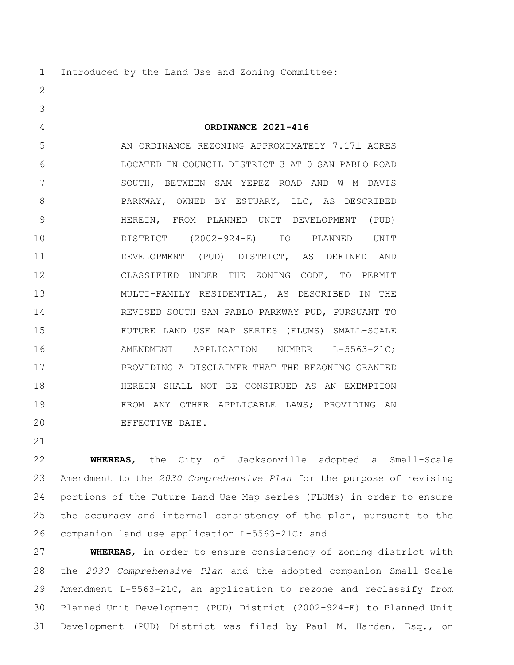Introduced by the Land Use and Zoning Committee:

**ORDINANCE 2021-416**

 AN ORDINANCE REZONING APPROXIMATELY 7.17 ACRES LOCATED IN COUNCIL DISTRICT 3 AT 0 SAN PABLO ROAD 7 SOUTH, BETWEEN SAM YEPEZ ROAD AND W M DAVIS 8 PARKWAY, OWNED BY ESTUARY, LLC, AS DESCRIBED HEREIN, FROM PLANNED UNIT DEVELOPMENT (PUD) DISTRICT (2002-924-E) TO PLANNED UNIT DEVELOPMENT (PUD) DISTRICT, AS DEFINED AND CLASSIFIED UNDER THE ZONING CODE, TO PERMIT MULTI-FAMILY RESIDENTIAL, AS DESCRIBED IN THE REVISED SOUTH SAN PABLO PARKWAY PUD, PURSUANT TO FUTURE LAND USE MAP SERIES (FLUMS) SMALL-SCALE 16 | AMENDMENT APPLICATION NUMBER L-5563-21C; 17 PROVIDING A DISCLAIMER THAT THE REZONING GRANTED HEREIN SHALL NOT BE CONSTRUED AS AN EXEMPTION 19 FROM ANY OTHER APPLICABLE LAWS; PROVIDING AN EFFECTIVE DATE.

 **WHEREAS**, the City of Jacksonville adopted a Small-Scale Amendment to the *2030 Comprehensive Plan* for the purpose of revising portions of the Future Land Use Map series (FLUMs) in order to ensure 25 the accuracy and internal consistency of the plan, pursuant to the 26 companion land use application L-5563-21C; and

 **WHEREAS**, in order to ensure consistency of zoning district with the *2030 Comprehensive Plan* and the adopted companion Small-Scale Amendment L-5563-21C, an application to rezone and reclassify from Planned Unit Development (PUD) District (2002-924-E) to Planned Unit Development (PUD) District was filed by Paul M. Harden, Esq., on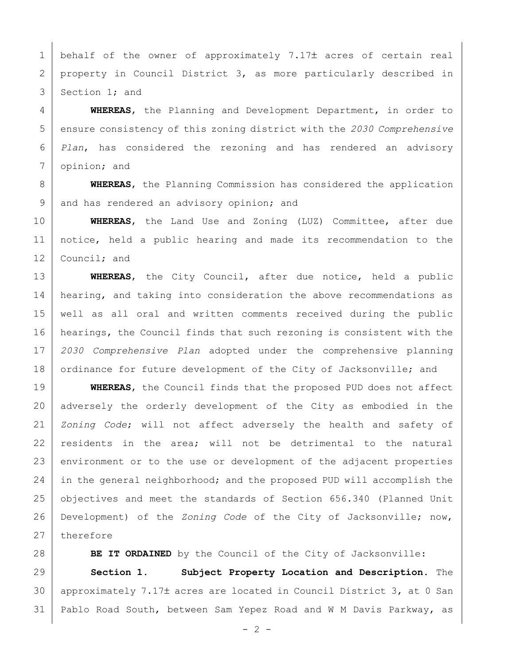1 behalf of the owner of approximately 7.17 $\pm$  acres of certain real 2 property in Council District 3, as more particularly described in 3 Section 1; and

 **WHEREAS**, the Planning and Development Department, in order to ensure consistency of this zoning district with the *2030 Comprehensive Plan*, has considered the rezoning and has rendered an advisory 7 opinion; and

8 **WHEREAS**, the Planning Commission has considered the application 9 and has rendered an advisory opinion; and

10 **WHEREAS**, the Land Use and Zoning (LUZ) Committee, after due 11 notice, held a public hearing and made its recommendation to the 12 Council; and

 **WHEREAS**, the City Council, after due notice, held a public 14 | hearing, and taking into consideration the above recommendations as well as all oral and written comments received during the public hearings, the Council finds that such rezoning is consistent with the *2030 Comprehensive Plan* adopted under the comprehensive planning 18 ordinance for future development of the City of Jacksonville; and

19 **WHEREAS**, the Council finds that the proposed PUD does not affect 20 adversely the orderly development of the City as embodied in the 21 *Zoning Code*; will not affect adversely the health and safety of 22 residents in the area; will not be detrimental to the natural 23 environment or to the use or development of the adjacent properties 24 in the general neighborhood; and the proposed PUD will accomplish the 25 objectives and meet the standards of Section 656.340 (Planned Unit 26 Development) of the *Zoning Code* of the City of Jacksonville; now, 27 therefore

28 **BE IT ORDAINED** by the Council of the City of Jacksonville:

29 **Section 1. Subject Property Location and Description.** The 30 | approximately 7.17 $\pm$  acres are located in Council District 3, at 0 San 31 Pablo Road South, between Sam Yepez Road and W M Davis Parkway, as

 $- 2 -$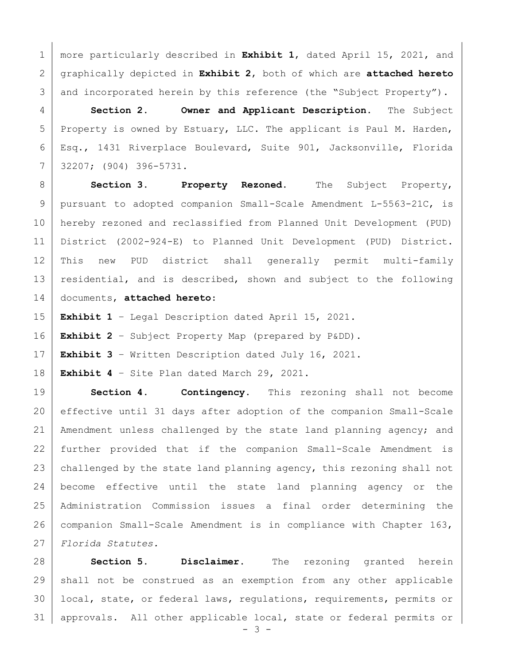more particularly described in **Exhibit 1**, dated April 15, 2021, and graphically depicted in **Exhibit 2**, both of which are **attached hereto** 3 and incorporated herein by this reference (the "Subject Property").

 **Section 2. Owner and Applicant Description.** The Subject 5 | Property is owned by Estuary, LLC. The applicant is Paul M. Harden, Esq., 1431 Riverplace Boulevard, Suite 901, Jacksonville, Florida 32207; (904) 396-5731.

 **Section 3. Property Rezoned.** The Subject Property, pursuant to adopted companion Small-Scale Amendment L-5563-21C, is hereby rezoned and reclassified from Planned Unit Development (PUD) District (2002-924-E) to Planned Unit Development (PUD) District. This new PUD district shall generally permit multi-family 13 residential, and is described, shown and subject to the following documents, **attached hereto**:

**Exhibit 1** – Legal Description dated April 15, 2021.

**Exhibit 2** – Subject Property Map (prepared by P&DD).

**Exhibit 3** – Written Description dated July 16, 2021.

**Exhibit 4** – Site Plan dated March 29, 2021.

 **Section 4. Contingency.** This rezoning shall not become effective until 31 days after adoption of the companion Small-Scale Amendment unless challenged by the state land planning agency; and further provided that if the companion Small-Scale Amendment is 23 challenged by the state land planning agency, this rezoning shall not become effective until the state land planning agency or the Administration Commission issues a final order determining the companion Small-Scale Amendment is in compliance with Chapter 163, *Florida Statutes.*

 **Section 5. Disclaimer.** The rezoning granted herein shall not be construed as an exemption from any other applicable local, state, or federal laws, regulations, requirements, permits or approvals. All other applicable local, state or federal permits or

- 3 -